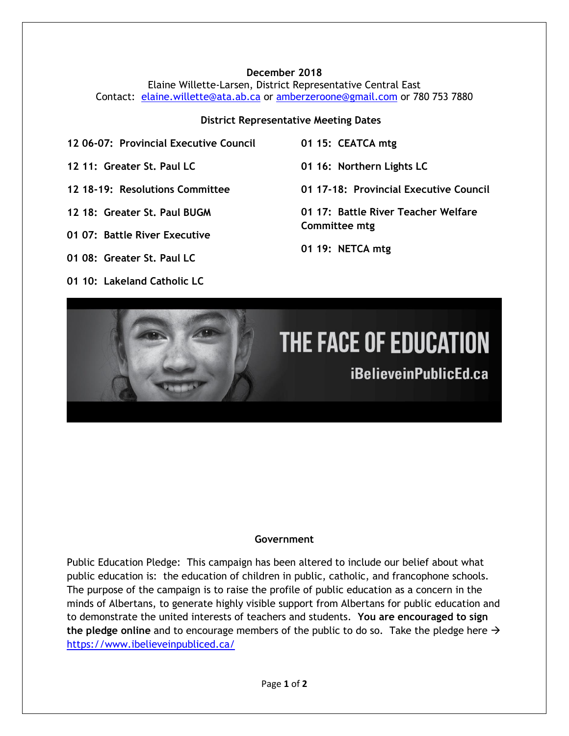### **December 2018**

Elaine Willette-Larsen, District Representative Central East Contact: [elaine.willette@ata.ab.ca](mailto:elaine.willette@ata.ab.ca) or [amberzeroone@gmail.com](mailto:amberzeroone@gmail.com) or 780 753 7880

#### **District Representative Meeting Dates**

- **12 06-07: Provincial Executive Council**
- **12 11: Greater St. Paul LC**
- **12 18-19: Resolutions Committee**
- **12 18: Greater St. Paul BUGM**
- **01 07: Battle River Executive**
- **01 08: Greater St. Paul LC**
- **01 10: Lakeland Catholic LC**
- **01 15: CEATCA mtg**
- **01 16: Northern Lights LC**
- **01 17-18: Provincial Executive Council**
- **01 17: Battle River Teacher Welfare Committee mtg**
- **01 19: NETCA mtg**

# THE FACE OF EDUCATION

iBelieveinPublicEd.ca

# **Government**

Public Education Pledge: This campaign has been altered to include our belief about what public education is: the education of children in public, catholic, and francophone schools. The purpose of the campaign is to raise the profile of public education as a concern in the minds of Albertans, to generate highly visible support from Albertans for public education and to demonstrate the united interests of teachers and students. **You are encouraged to sign the pledge online** and to encourage members of the public to do so. Take the pledge here → <https://www.ibelieveinpubliced.ca/>